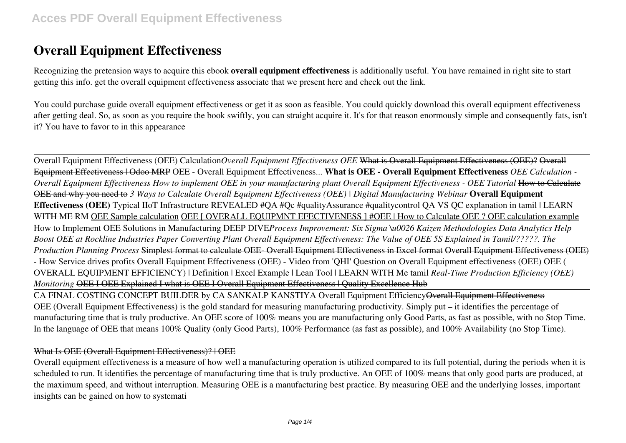# **Overall Equipment Effectiveness**

Recognizing the pretension ways to acquire this ebook **overall equipment effectiveness** is additionally useful. You have remained in right site to start getting this info. get the overall equipment effectiveness associate that we present here and check out the link.

You could purchase guide overall equipment effectiveness or get it as soon as feasible. You could quickly download this overall equipment effectiveness after getting deal. So, as soon as you require the book swiftly, you can straight acquire it. It's for that reason enormously simple and consequently fats, isn't it? You have to favor to in this appearance

Overall Equipment Effectiveness (OEE) Calculation*Overall Equipment Effectiveness OEE* What is Overall Equipment Effectiveness (OEE)? Overall Equipment Effectiveness | Odoo MRP OEE - Overall Equipment Effectiveness... **What is OEE - Overall Equipment Effectiveness** *OEE Calculation - Overall Equipment Effectiveness How to implement OEE in your manufacturing plant Overall Equipment Effectiveness - OEE Tutorial* How to Calculate OEE and why you need to *3 Ways to Calculate Overall Equipment Effectiveness (OEE) | Digital Manufacturing Webinar* **Overall Equipment Effectiveness (OEE)** Typical IIoT Infrastructure REVEALED #QA #Qc #qualityAssurance #qualitycontrol QA VS QC explanation in tamil | LEARN WITH ME RM OEE Sample calculation OEE [ OVERALL EQUIPMNT EFECTIVENESS ] #OEE | How to Calculate OEE ? OEE calculation example How to Implement OEE Solutions in Manufacturing DEEP DIVE*Process Improvement: Six Sigma \u0026 Kaizen Methodologies Data Analytics Help Boost OEE at Rockline Industries Paper Converting Plant Overall Equipment Effectiveness: The Value of OEE 5S Explained in Tamil/?????. The Production Planning Process* Simplest format to calculate OEE- Overall Equipment Effectiveness in Excel format Overall Equipment Effectiveness (OEE) - How Service drives profits Overall Equipment Effectiveness (OEE) - Video from 'QHI' Question on Overall Equipment effectiveness (OEE) OEE ( OVERALL EQUIPMENT EFFICIENCY) | Definition | Excel Example | Lean Tool | LEARN WITH Me tamil *Real-Time Production Efficiency (OEE) Monitoring* OEE I OEE Explained I what is OEE I Overall Equipment Effectiveness | Quality Excellence Hub

CA FINAL COSTING CONCEPT BUILDER by CA SANKALP KANSTIYA Overall Equipment EfficiencyOverall Equipment Effectiveness OEE (Overall Equipment Effectiveness) is the gold standard for measuring manufacturing productivity. Simply put – it identifies the percentage of manufacturing time that is truly productive. An OEE score of 100% means you are manufacturing only Good Parts, as fast as possible, with no Stop Time. In the language of OEE that means 100% Quality (only Good Parts), 100% Performance (as fast as possible), and 100% Availability (no Stop Time).

## What Is OEE (Overall Equipment Effectiveness)? | OEE

Overall equipment effectiveness is a measure of how well a manufacturing operation is utilized compared to its full potential, during the periods when it is scheduled to run. It identifies the percentage of manufacturing time that is truly productive. An OEE of 100% means that only good parts are produced, at the maximum speed, and without interruption. Measuring OEE is a manufacturing best practice. By measuring OEE and the underlying losses, important insights can be gained on how to systemati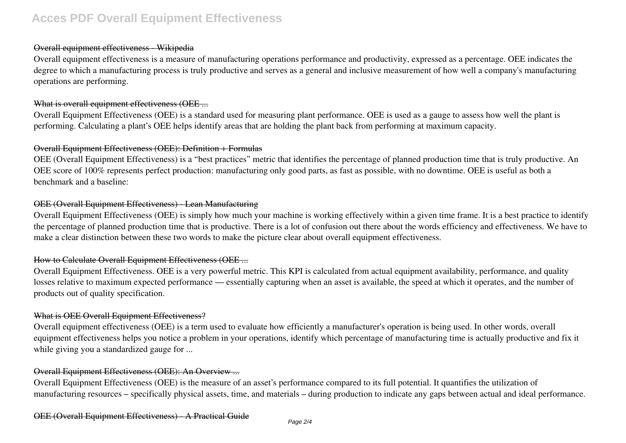# **Acces PDF Overall Equipment Effectiveness**

### Overall equipment effectiveness - Wikipedia

Overall equipment effectiveness is a measure of manufacturing operations performance and productivity, expressed as a percentage. OEE indicates the degree to which a manufacturing process is truly productive and serves as a general and inclusive measurement of how well a company's manufacturing operations are performing.

#### What is overall equipment effectiveness (OEE ...

Overall Equipment Effectiveness (OEE) is a standard used for measuring plant performance. OEE is used as a gauge to assess how well the plant is performing. Calculating a plant's OEE helps identify areas that are holding the plant back from performing at maximum capacity.

### Overall Equipment Effectiveness (OEE): Definition + Formulas

OEE (Overall Equipment Effectiveness) is a "best practices" metric that identifies the percentage of planned production time that is truly productive. An OEE score of 100% represents perfect production: manufacturing only good parts, as fast as possible, with no downtime. OEE is useful as both a benchmark and a baseline:

## OEE (Overall Equipment Effectiveness) - Lean Manufacturing

Overall Equipment Effectiveness (OEE) is simply how much your machine is working effectively within a given time frame. It is a best practice to identify the percentage of planned production time that is productive. There is a lot of confusion out there about the words efficiency and effectiveness. We have to make a clear distinction between these two words to make the picture clear about overall equipment effectiveness.

### How to Calculate Overall Equipment Effectiveness (OEE ...

Overall Equipment Effectiveness. OEE is a very powerful metric. This KPI is calculated from actual equipment availability, performance, and quality losses relative to maximum expected performance — essentially capturing when an asset is available, the speed at which it operates, and the number of products out of quality specification.

### What is OEE Overall Equipment Effectiveness?

Overall equipment effectiveness (OEE) is a term used to evaluate how efficiently a manufacturer's operation is being used. In other words, overall equipment effectiveness helps you notice a problem in your operations, identify which percentage of manufacturing time is actually productive and fix it while giving you a standardized gauge for ...

### Overall Equipment Effectiveness (OEE): An Overview ...

Overall Equipment Effectiveness (OEE) is the measure of an asset's performance compared to its full potential. It quantifies the utilization of manufacturing resources – specifically physical assets, time, and materials – during production to indicate any gaps between actual and ideal performance.

#### OEE (Overall Equipment Effectiveness) - A Practical Guide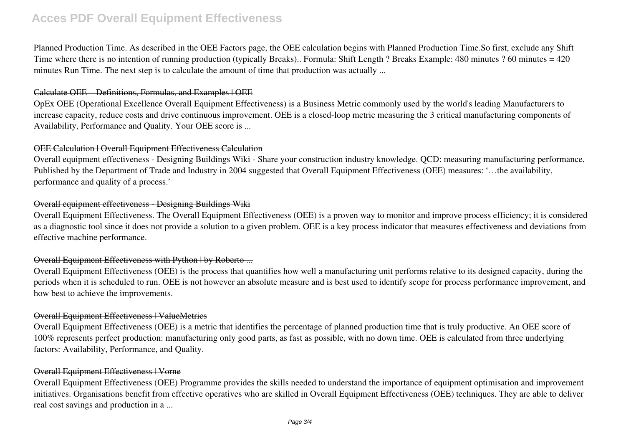# **Acces PDF Overall Equipment Effectiveness**

Planned Production Time. As described in the OEE Factors page, the OEE calculation begins with Planned Production Time.So first, exclude any Shift Time where there is no intention of running production (typically Breaks).. Formula: Shift Length ? Breaks Example: 480 minutes ? 60 minutes = 420 minutes Run Time. The next step is to calculate the amount of time that production was actually ...

### Calculate OEE – Definitions, Formulas, and Examples | OEE

OpEx OEE (Operational Excellence Overall Equipment Effectiveness) is a Business Metric commonly used by the world's leading Manufacturers to increase capacity, reduce costs and drive continuous improvement. OEE is a closed-loop metric measuring the 3 critical manufacturing components of Availability, Performance and Quality. Your OEE score is ...

## OEE Calculation | Overall Equipment Effectiveness Calculation

Overall equipment effectiveness - Designing Buildings Wiki - Share your construction industry knowledge. QCD: measuring manufacturing performance, Published by the Department of Trade and Industry in 2004 suggested that Overall Equipment Effectiveness (OEE) measures: '…the availability, performance and quality of a process.'

## Overall equipment effectiveness - Designing Buildings Wiki

Overall Equipment Effectiveness. The Overall Equipment Effectiveness (OEE) is a proven way to monitor and improve process efficiency; it is considered as a diagnostic tool since it does not provide a solution to a given problem. OEE is a key process indicator that measures effectiveness and deviations from effective machine performance.

# Overall Equipment Effectiveness with Python | by Roberto ...

Overall Equipment Effectiveness (OEE) is the process that quantifies how well a manufacturing unit performs relative to its designed capacity, during the periods when it is scheduled to run. OEE is not however an absolute measure and is best used to identify scope for process performance improvement, and how best to achieve the improvements.

## Overall Equipment Effectiveness | ValueMetrics

Overall Equipment Effectiveness (OEE) is a metric that identifies the percentage of planned production time that is truly productive. An OEE score of 100% represents perfect production: manufacturing only good parts, as fast as possible, with no down time. OEE is calculated from three underlying factors: Availability, Performance, and Quality.

### Overall Equipment Effectiveness | Vorne

Overall Equipment Effectiveness (OEE) Programme provides the skills needed to understand the importance of equipment optimisation and improvement initiatives. Organisations benefit from effective operatives who are skilled in Overall Equipment Effectiveness (OEE) techniques. They are able to deliver real cost savings and production in a ...